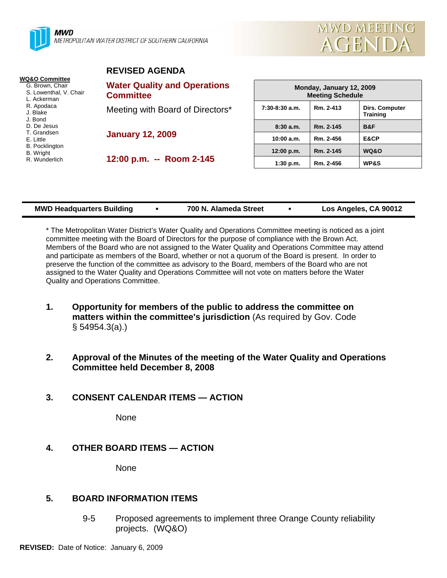



## **REVISED AGENDA**

| <b>WQ&amp;O Committee</b><br>G. Brown, Chair<br>S. Lowenthal, V. Chair<br>L. Ackerman | <b>Water Quality and Operations</b><br><b>Committee</b> |
|---------------------------------------------------------------------------------------|---------------------------------------------------------|
| R. Apodaca<br>J. Blake<br>J. Bond<br>D. De Jesus                                      | Meeting with Board of Directors*                        |
| T. Grandsen<br>E. Little<br><b>B.</b> Pocklington                                     | <b>January 12, 2009</b>                                 |
| <b>B.</b> Wright<br>R. Wunderlich                                                     | 12:00 p.m. -- Room 2-145                                |

| Monday, January 12, 2009<br><b>Meeting Schedule</b> |           |                                   |  |  |
|-----------------------------------------------------|-----------|-----------------------------------|--|--|
| $7:30-8:30$ a.m.                                    | Rm. 2-413 | Dirs. Computer<br><b>Training</b> |  |  |
| 8:30a.m.                                            | Rm. 2-145 | <b>B&amp;F</b>                    |  |  |
| 10:00 a.m.                                          | Rm. 2-456 | E&CP                              |  |  |
| 12:00 p.m.                                          | Rm. 2-145 | <b>WQ&amp;O</b>                   |  |  |
| 1:30 p.m.                                           | Rm. 2-456 | <b>WP&amp;S</b>                   |  |  |

|  | <b>MWD Headquarters Building</b> | 700 N. Alameda Street | Los Angeles, CA 90012 |
|--|----------------------------------|-----------------------|-----------------------|
|--|----------------------------------|-----------------------|-----------------------|

\* The Metropolitan Water District's Water Quality and Operations Committee meeting is noticed as a joint committee meeting with the Board of Directors for the purpose of compliance with the Brown Act. Members of the Board who are not assigned to the Water Quality and Operations Committee may attend and participate as members of the Board, whether or not a quorum of the Board is present. In order to preserve the function of the committee as advisory to the Board, members of the Board who are not assigned to the Water Quality and Operations Committee will not vote on matters before the Water Quality and Operations Committee.

- **1. Opportunity for members of the public to address the committee on matters within the committee's jurisdiction** (As required by Gov. Code § 54954.3(a).)
- **2. Approval of the Minutes of the meeting of the Water Quality and Operations Committee held December 8, 2008**

# **3. CONSENT CALENDAR ITEMS — ACTION**

None

# **4. OTHER BOARD ITEMS — ACTION**

None

# **5. BOARD INFORMATION ITEMS**

9-5 Proposed agreements to implement three Orange County reliability projects. (WQ&O)